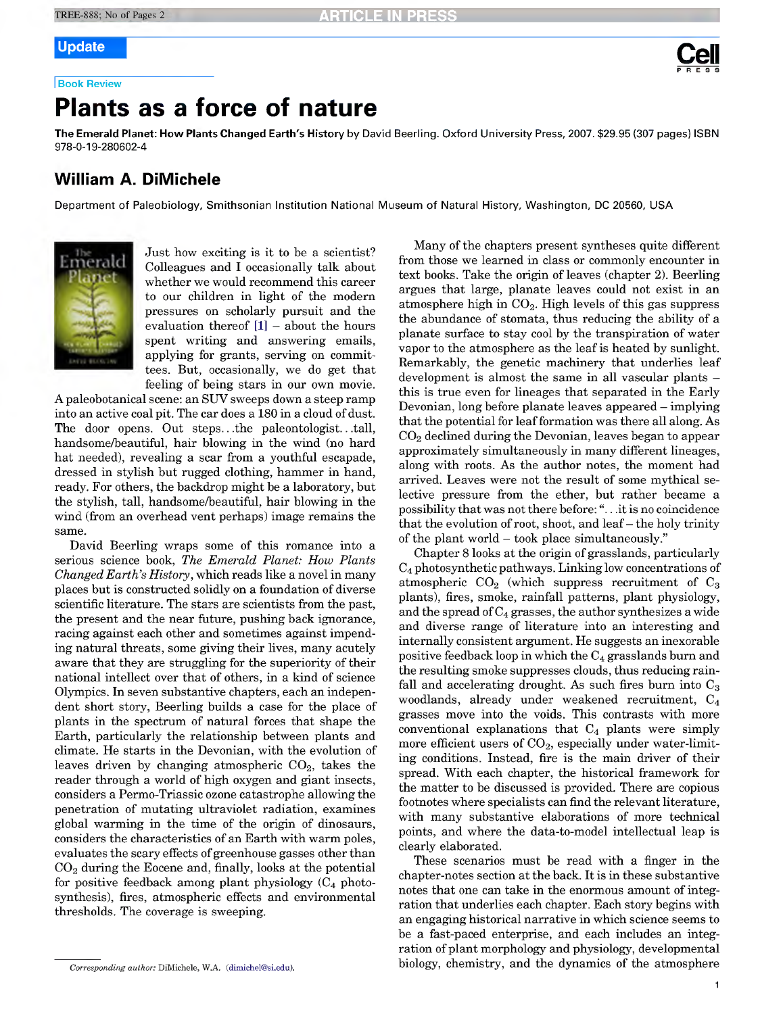# **Update Cel**

<sup>I</sup> **Book Review**

## **Plants as a force of nature**

**The Emerald Planet: How Plants Changed Earth's History** by David Beerling. Oxford University Press, 2007. \$29.95 (307 pages) ISBN 978-0-19-280602-4

### **William A. DiMichele**

Department of Paleobiology, Smithsonian Institution National Museum of Natural History, Washington, DC 20560, USA



Just how exciting is it to be a scientist? Colleagues and I occasionally talk about whether we would recommend this career to our children in light of the modern pressures on scholarly pursuit and the evaluation thereof  $[1]$  – about the hours spent writing and answering emails, applying for grants, serving on committees. But, occasionally, we do get that feeling of being stars in our own movie.

A paleobotanical scene: an SUV sweeps down a steep ramp into an active coal pit. The car does a 180 in a cloud of dust. The door opens. Out steps.. .the paleontologist.. .tall, handsome/beautiful, hair blowing in the wind (no hard hat needed), revealing a scar from a youthful escapade, dressed in stylish but rugged clothing, hammer in hand, ready. For others, the backdrop might be a laboratory, but the stylish, tall, handsome/beautiful, hair blowing in the wind (from an overhead vent perhaps) image remains the same.

David Beerling wraps some of this romance into a serious science book. *The Emerald Planet: How Plants Changed Earth's History,* which reads like a novel in many places but is constructed solidly on a foundation of diverse scientific literature. The stars are scientists from the past, the present and the near future, pushing back ignorance, racing against each other and sometimes against impending natural threats, some giving their lives, many acutely aware that they are struggling for the superiority of their national intellect over that of others, in a kind of science Olympics. In seven substantive chapters, each an independent short story, Beerling builds a case for the place of plants in the spectrum of natural forces that shape the Earth, particularly the relationship between plants and climate. He starts in the Devonian, with the evolution of leaves driven by changing atmospheric  $CO<sub>2</sub>$ , takes the reader through a world of high oxygen and giant insects, considers a Permo-Triassic ozone catastrophe allowing the penetration of mutating ultraviolet radiation, examines global warming in the time of the origin of dinosaurs, considers the characteristics of an Earth with warm poles, evaluates the scary effects of greenhouse gasses other than  $CO<sub>2</sub>$  during the Eocene and, finally, looks at the potential for positive feedback among plant physiology  $(C_4$  photosynthesis), fires, atmospheric effects and environmental thresholds. The coverage is sweeping.

Many of the chapters present syntheses quite different from those we learned in class or commonly encounter in text books. Take the origin of leaves (chapter 2). Beerling argues that large, planate leaves could not exist in an atmosphere high in  $CO<sub>2</sub>$ . High levels of this gas suppress the abundance of stomata, thus reducing the ability of a planate surface to stay cool by the transpiration of water vapor to the atmosphere as the leaf is heated by sunlight. Remarkably, the genetic machinery that underlies leaf development is almost the same in all vascular plants – this is true even for lineages that separated in the Early Devonian, long before planate leaves appeared – implying that the potential for leaf formation was there all along. As  $CO<sub>2</sub>$  declined during the Devonian, leaves began to appear approximately simultaneously in many different lineages, along with roots. As the author notes, the moment had arrived. Leaves were not the result of some mythical selective pressure from the ether, but rather became a possibility that was notthere before: ".. .it is no coincidence that the evolution of root, shoot, and leaf- the holy trinity of the plant world - took place simultaneously."

Chapter 8 looks at the origin of grasslands, particularly  $C_4$  photosynthetic pathways. Linking low concentrations of atmospheric  $CO<sub>2</sub>$  (which suppress recruitment of  $C<sub>3</sub>$ plants), fires, smoke, rainfall patterns, plant physiology, and the spread of  $C_4$  grasses, the author synthesizes a wide and diverse range of literature into an interesting and internally consistent argument. He suggests an inexorable positive feedback loop in which the  $C_4$  grasslands burn and the resulting smoke suppresses clouds, thus reducing rainfall and accelerating drought. As such fires burn into  $C_3$ woodlands, already under weakened recruitment, C4 grasses move into the voids. This contrasts with more conventional explanations that  $C_4$  plants were simply more efficient users of  $CO<sub>2</sub>$ , especially under water-limiting conditions. Instead, fire is the main driver of their spread. With each chapter, the historical framework for the matter to be discussed is provided. There are copious footnotes where specialists can find the relevant literature. with many substantive elaborations of more technical points, and where the data-to-model intellectual leap is clearly elaborated.

These scenarios must be read with a finger in the chapter-notes section atthe back. It is in these substantive notes that one can take in the enormous amount of integration that underlies each chapter. Each story begins with an engaging historical narrative in which science seems to be a fast-paced enterprise, and each includes an integration of plant morphology and physiology, developmental biology, chemistry, and the dynamics of the atmosphere

*Corresponding author: DiMichele, W.A. (dimichel@si.edu).*